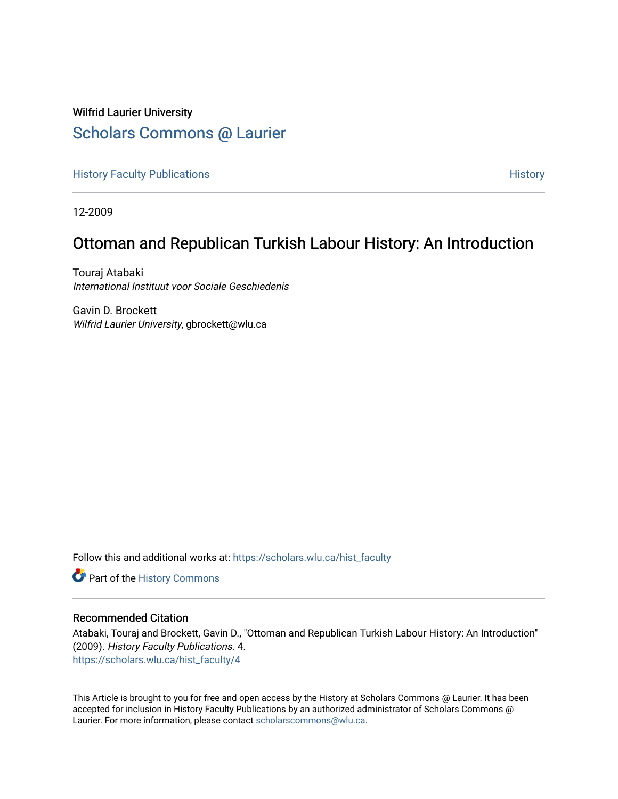Wilfrid Laurier University [Scholars Commons @ Laurier](https://scholars.wlu.ca/)

[History Faculty Publications](https://scholars.wlu.ca/hist_faculty) **History** [History](https://scholars.wlu.ca/hist) **History** 

12-2009

# Ottoman and Republican Turkish Labour History: An Introduction

Touraj Atabaki International Instituut voor Sociale Geschiedenis

Gavin D. Brockett Wilfrid Laurier University, gbrockett@wlu.ca

Follow this and additional works at: [https://scholars.wlu.ca/hist\\_faculty](https://scholars.wlu.ca/hist_faculty?utm_source=scholars.wlu.ca%2Fhist_faculty%2F4&utm_medium=PDF&utm_campaign=PDFCoverPages) 

Part of the [History Commons](http://network.bepress.com/hgg/discipline/489?utm_source=scholars.wlu.ca%2Fhist_faculty%2F4&utm_medium=PDF&utm_campaign=PDFCoverPages) 

### Recommended Citation

Atabaki, Touraj and Brockett, Gavin D., "Ottoman and Republican Turkish Labour History: An Introduction" (2009). History Faculty Publications. 4. [https://scholars.wlu.ca/hist\\_faculty/4](https://scholars.wlu.ca/hist_faculty/4?utm_source=scholars.wlu.ca%2Fhist_faculty%2F4&utm_medium=PDF&utm_campaign=PDFCoverPages) 

This Article is brought to you for free and open access by the History at Scholars Commons @ Laurier. It has been accepted for inclusion in History Faculty Publications by an authorized administrator of Scholars Commons @ Laurier. For more information, please contact [scholarscommons@wlu.ca](mailto:scholarscommons@wlu.ca).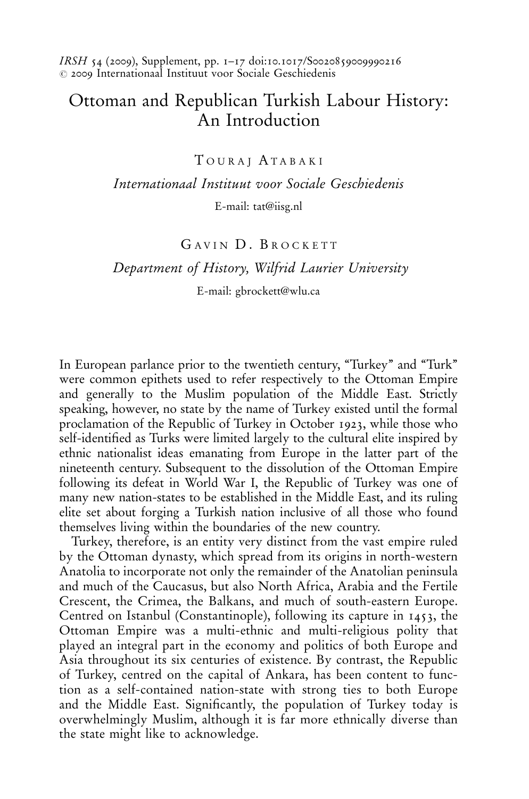$IRSH$  54 (2009), Supplement, pp. 1–17 doi:10.1017/S0020859009990216 r 2009 Internationaal Instituut voor Sociale Geschiedenis

## Ottoman and Republican Turkish Labour History: An Introduction

#### T OURAJ ATABAKI

Internationaal Instituut voor Sociale Geschiedenis

E-mail: tat@iisg.nl

#### G AVIN D. B ROCKETT

#### Department of History, Wilfrid Laurier University

E-mail: gbrockett@wlu.ca

In European parlance prior to the twentieth century, "Turkey" and "Turk" were common epithets used to refer respectively to the Ottoman Empire and generally to the Muslim population of the Middle East. Strictly speaking, however, no state by the name of Turkey existed until the formal proclamation of the Republic of Turkey in October 1923, while those who self-identified as Turks were limited largely to the cultural elite inspired by ethnic nationalist ideas emanating from Europe in the latter part of the nineteenth century. Subsequent to the dissolution of the Ottoman Empire following its defeat in World War I, the Republic of Turkey was one of many new nation-states to be established in the Middle East, and its ruling elite set about forging a Turkish nation inclusive of all those who found themselves living within the boundaries of the new country.

Turkey, therefore, is an entity very distinct from the vast empire ruled by the Ottoman dynasty, which spread from its origins in north-western Anatolia to incorporate not only the remainder of the Anatolian peninsula and much of the Caucasus, but also North Africa, Arabia and the Fertile Crescent, the Crimea, the Balkans, and much of south-eastern Europe. Centred on Istanbul (Constantinople), following its capture in 1453, the Ottoman Empire was a multi-ethnic and multi-religious polity that played an integral part in the economy and politics of both Europe and Asia throughout its six centuries of existence. By contrast, the Republic of Turkey, centred on the capital of Ankara, has been content to function as a self-contained nation-state with strong ties to both Europe and the Middle East. Significantly, the population of Turkey today is overwhelmingly Muslim, although it is far more ethnically diverse than the state might like to acknowledge.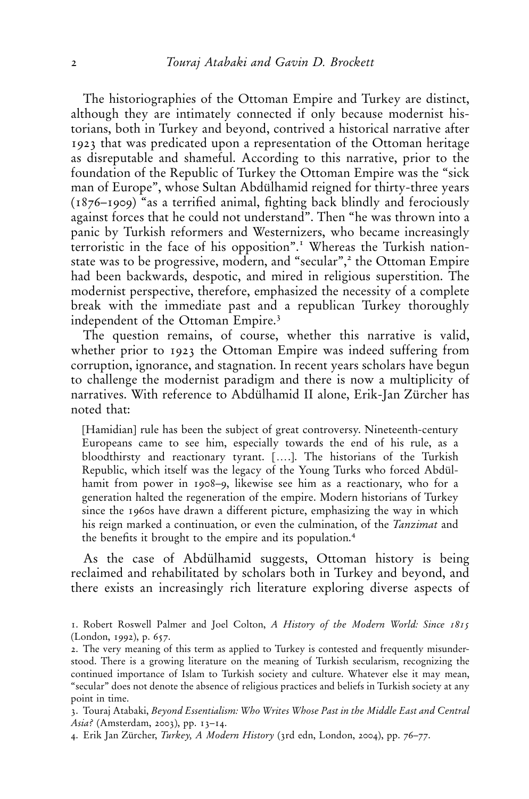The historiographies of the Ottoman Empire and Turkey are distinct, although they are intimately connected if only because modernist historians, both in Turkey and beyond, contrived a historical narrative after 1923 that was predicated upon a representation of the Ottoman heritage as disreputable and shameful. According to this narrative, prior to the foundation of the Republic of Turkey the Ottoman Empire was the ''sick man of Europe", whose Sultan Abdülhamid reigned for thirty-three years (1876–1909) ''as a terrified animal, fighting back blindly and ferociously against forces that he could not understand''. Then ''he was thrown into a panic by Turkish reformers and Westernizers, who became increasingly terroristic in the face of his opposition".<sup>1</sup> Whereas the Turkish nationstate was to be progressive, modern, and "secular",<sup>2</sup> the Ottoman Empire had been backwards, despotic, and mired in religious superstition. The modernist perspective, therefore, emphasized the necessity of a complete break with the immediate past and a republican Turkey thoroughly independent of the Ottoman Empire.<sup>3</sup>

The question remains, of course, whether this narrative is valid, whether prior to 1923 the Ottoman Empire was indeed suffering from corruption, ignorance, and stagnation. In recent years scholars have begun to challenge the modernist paradigm and there is now a multiplicity of narratives. With reference to Abdülhamid II alone, Erik-Jan Zürcher has noted that:

[Hamidian] rule has been the subject of great controversy. Nineteenth-century Europeans came to see him, especially towards the end of his rule, as a bloodthirsty and reactionary tyrant. [....]. The historians of the Turkish Republic, which itself was the legacy of the Young Turks who forced Abdülhamit from power in 1908–9, likewise see him as a reactionary, who for a generation halted the regeneration of the empire. Modern historians of Turkey since the 1960s have drawn a different picture, emphasizing the way in which his reign marked a continuation, or even the culmination, of the *Tanzimat* and the benefits it brought to the empire and its population.<sup>4</sup>

As the case of Abdülhamid suggests, Ottoman history is being reclaimed and rehabilitated by scholars both in Turkey and beyond, and there exists an increasingly rich literature exploring diverse aspects of

<sup>1.</sup> Robert Roswell Palmer and Joel Colton, A History of the Modern World: Since 1815 (London, 1992), p. 657.

<sup>2.</sup> The very meaning of this term as applied to Turkey is contested and frequently misunderstood. There is a growing literature on the meaning of Turkish secularism, recognizing the continued importance of Islam to Turkish society and culture. Whatever else it may mean, ''secular'' does not denote the absence of religious practices and beliefs in Turkish society at any point in time.

<sup>3.</sup> Touraj Atabaki, Beyond Essentialism: Who Writes Whose Past in the Middle East and Central Asia? (Amsterdam, 2003), pp. 13–14.

<sup>4.</sup> Erik Jan Zürcher, Turkey, A Modern History (3rd edn, London, 2004), pp. 76–77.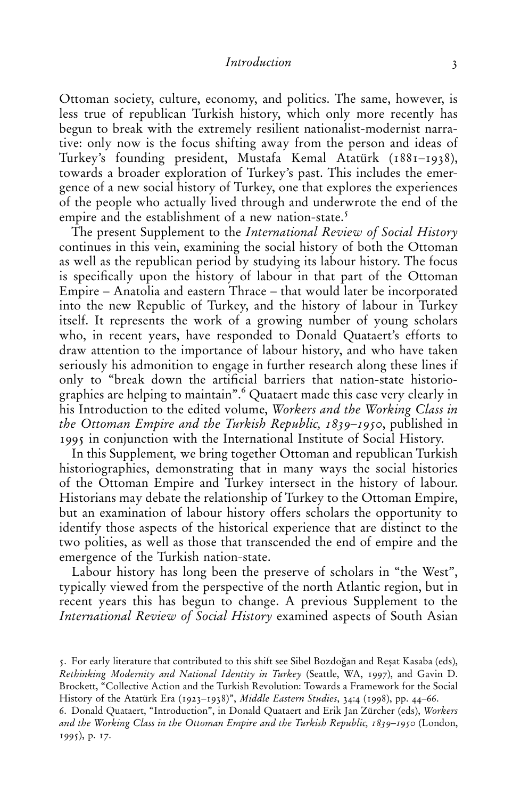#### Introduction 3

Ottoman society, culture, economy, and politics. The same, however, is less true of republican Turkish history, which only more recently has begun to break with the extremely resilient nationalist-modernist narrative: only now is the focus shifting away from the person and ideas of Turkey's founding president, Mustafa Kemal Atatürk (1881–1938), towards a broader exploration of Turkey's past. This includes the emergence of a new social history of Turkey, one that explores the experiences of the people who actually lived through and underwrote the end of the empire and the establishment of a new nation-state.<sup>5</sup>

The present Supplement to the International Review of Social History continues in this vein, examining the social history of both the Ottoman as well as the republican period by studying its labour history. The focus is specifically upon the history of labour in that part of the Ottoman Empire – Anatolia and eastern Thrace – that would later be incorporated into the new Republic of Turkey, and the history of labour in Turkey itself. It represents the work of a growing number of young scholars who, in recent years, have responded to Donald Quataert's efforts to draw attention to the importance of labour history, and who have taken seriously his admonition to engage in further research along these lines if only to ''break down the artificial barriers that nation-state historiographies are helping to maintain''.6 Quataert made this case very clearly in his Introduction to the edited volume, Workers and the Working Class in the Ottoman Empire and the Turkish Republic, 1839–1950, published in 1995 in conjunction with the International Institute of Social History.

In this Supplement, we bring together Ottoman and republican Turkish historiographies, demonstrating that in many ways the social histories of the Ottoman Empire and Turkey intersect in the history of labour. Historians may debate the relationship of Turkey to the Ottoman Empire, but an examination of labour history offers scholars the opportunity to identify those aspects of the historical experience that are distinct to the two polities, as well as those that transcended the end of empire and the emergence of the Turkish nation-state.

Labour history has long been the preserve of scholars in "the West", typically viewed from the perspective of the north Atlantic region, but in recent years this has begun to change. A previous Supplement to the International Review of Social History examined aspects of South Asian

<sup>5.</sup> For early literature that contributed to this shift see Sibel Bozdoğan and Reșat Kasaba (eds), Rethinking Modernity and National Identity in Turkey (Seattle, WA, 1997), and Gavin D. Brockett, "Collective Action and the Turkish Revolution: Towards a Framework for the Social History of the Atatürk Era (1923–1938)", Middle Eastern Studies, 34:4 (1998), pp. 44–66.

<sup>6.</sup> Donald Quataert, "Introduction", in Donald Quataert and Erik Jan Zürcher (eds), Workers and the Working Class in the Ottoman Empire and the Turkish Republic, 1839–1950 (London, 1995), p. 17.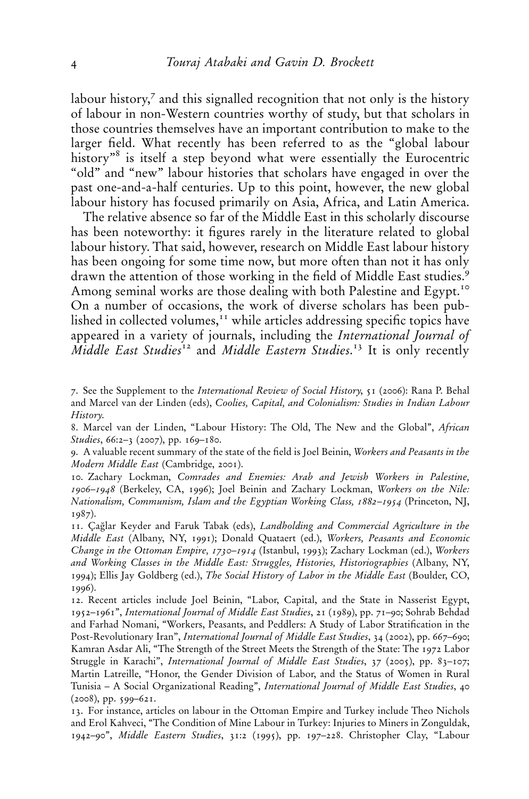labour history, $7$  and this signalled recognition that not only is the history of labour in non-Western countries worthy of study, but that scholars in those countries themselves have an important contribution to make to the larger field. What recently has been referred to as the "global labour history<sup>38</sup> is itself a step beyond what were essentially the Eurocentric "old" and "new" labour histories that scholars have engaged in over the past one-and-a-half centuries. Up to this point, however, the new global labour history has focused primarily on Asia, Africa, and Latin America.

The relative absence so far of the Middle East in this scholarly discourse has been noteworthy: it figures rarely in the literature related to global labour history. That said, however, research on Middle East labour history has been ongoing for some time now, but more often than not it has only drawn the attention of those working in the field of Middle East studies.<sup>9</sup> Among seminal works are those dealing with both Palestine and Egypt.<sup>10</sup> On a number of occasions, the work of diverse scholars has been published in collected volumes,<sup>11</sup> while articles addressing specific topics have appeared in a variety of journals, including the International Journal of Middle East Studies<sup>12</sup> and Middle Eastern Studies.<sup>13</sup> It is only recently

7. See the Supplement to the International Review of Social History, 51 (2006): Rana P. Behal and Marcel van der Linden (eds), Coolies, Capital, and Colonialism: Studies in Indian Labour History.

8. Marcel van der Linden, "Labour History: The Old, The New and the Global", African Studies, 66:2-3 (2007), pp. 169-180.

9. A valuable recent summary of the state of the field is Joel Beinin, Workers and Peasants in the Modern Middle East (Cambridge, 2001).

10. Zachary Lockman, Comrades and Enemies: Arab and Jewish Workers in Palestine, 1906–1948 (Berkeley, CA, 1996); Joel Beinin and Zachary Lockman, Workers on the Nile: Nationalism, Communism, Islam and the Egyptian Working Class, 1882–1954 (Princeton, NJ, 1987).

11. Çağlar Keyder and Faruk Tabak (eds), Landholding and Commercial Agriculture in the Middle East (Albany, NY, 1991); Donald Quataert (ed.), Workers, Peasants and Economic Change in the Ottoman Empire, 1730–1914 (Istanbul, 1993); Zachary Lockman (ed.), Workers and Working Classes in the Middle East: Struggles, Histories, Historiographies (Albany, NY, 1994); Ellis Jay Goldberg (ed.), The Social History of Labor in the Middle East (Boulder, CO, 1996).

12. Recent articles include Joel Beinin, ''Labor, Capital, and the State in Nasserist Egypt, 1952–1961'', International Journal of Middle East Studies, 21 (1989), pp. 71–90; Sohrab Behdad and Farhad Nomani, ''Workers, Peasants, and Peddlers: A Study of Labor Stratification in the Post-Revolutionary Iran", International Journal of Middle East Studies, 34 (2002), pp. 667–690; Kamran Asdar Ali, ''The Strength of the Street Meets the Strength of the State: The 1972 Labor Struggle in Karachi", International Journal of Middle East Studies, 37 (2005), pp. 83-107; Martin Latreille, ''Honor, the Gender Division of Labor, and the Status of Women in Rural Tunisia – A Social Organizational Reading'', International Journal of Middle East Studies, 40 (2008), pp. 599–621.

13. For instance, articles on labour in the Ottoman Empire and Turkey include Theo Nichols and Erol Kahveci, ''The Condition of Mine Labour in Turkey: Injuries to Miners in Zonguldak, 1942–90'', Middle Eastern Studies, 31:2 (1995), pp. 197–228. Christopher Clay, ''Labour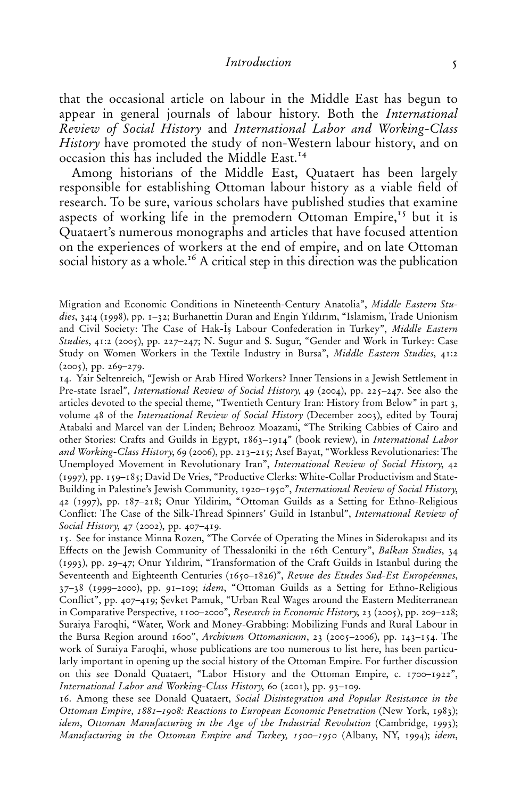that the occasional article on labour in the Middle East has begun to appear in general journals of labour history. Both the International Review of Social History and International Labor and Working-Class History have promoted the study of non-Western labour history, and on occasion this has included the Middle East.<sup>14</sup>

Among historians of the Middle East, Quataert has been largely responsible for establishing Ottoman labour history as a viable field of research. To be sure, various scholars have published studies that examine aspects of working life in the premodern Ottoman Empire,<sup>15</sup> but it is Quataert's numerous monographs and articles that have focused attention on the experiences of workers at the end of empire, and on late Ottoman social history as a whole.<sup>16</sup> A critical step in this direction was the publication

14. Yair Seltenreich, ''Jewish or Arab Hired Workers? Inner Tensions in a Jewish Settlement in Pre-state Israel", *International Review of Social History*, 49 (2004), pp. 225–247. See also the articles devoted to the special theme, ''Twentieth Century Iran: History from Below'' in part 3, volume 48 of the *International Review of Social History* (December 2003), edited by Touraj Atabaki and Marcel van der Linden; Behrooz Moazami, ''The Striking Cabbies of Cairo and other Stories: Crafts and Guilds in Egypt, 1863–1914'' (book review), in International Labor and Working-Class History, 69 (2006), pp. 213–215; Asef Bayat, "Workless Revolutionaries: The Unemployed Movement in Revolutionary Iran'', International Review of Social History, 42 (1997), pp. 159–185; David De Vries, ''Productive Clerks: White-Collar Productivism and State-Building in Palestine's Jewish Community, 1920–1950'', International Review of Social History, 42 (1997), pp. 187–218; Onur Yildirim, ''Ottoman Guilds as a Setting for Ethno-Religious Conflict: The Case of the Silk-Thread Spinners' Guild in Istanbul'', International Review of Social History, 47 (2002), pp. 407–419.

15. See for instance Minna Rozen, "The Corvée of Operating the Mines in Siderokapısı and its Effects on the Jewish Community of Thessaloniki in the 16th Century", Balkan Studies, 34 (1993), pp. 29–47; Onur Yıldırim, ''Transformation of the Craft Guilds in Istanbul during the Seventeenth and Eighteenth Centuries (1650-1826)", Revue des Etudes Sud-Est Européennes,  $37-38$  (1999–2000), pp. 91–109; *idem*, "Ottoman Guilds as a Setting for Ethno-Religious Conflict", pp. 407-419; Sevket Pamuk, "Urban Real Wages around the Eastern Mediterranean in Comparative Perspective, 1100-2000", Research in Economic History, 23 (2005), pp. 209-228; Suraiya Faroqhi, ''Water, Work and Money-Grabbing: Mobilizing Funds and Rural Labour in the Bursa Region around 1600", Archivum Ottomanicum, 23 (2005–2006), pp. 143–154. The work of Suraiya Faroqhi, whose publications are too numerous to list here, has been particularly important in opening up the social history of the Ottoman Empire. For further discussion on this see Donald Quataert, ''Labor History and the Ottoman Empire, c. 1700–1922'', International Labor and Working-Class History, 60 (2001), pp. 93–109.

16. Among these see Donald Quataert, Social Disintegration and Popular Resistance in the Ottoman Empire, 1881–1908: Reactions to European Economic Penetration (New York, 1983); idem, Ottoman Manufacturing in the Age of the Industrial Revolution (Cambridge, 1993); Manufacturing in the Ottoman Empire and Turkey, 1500–1950 (Albany, NY, 1994); idem,

Migration and Economic Conditions in Nineteenth-Century Anatolia'', Middle Eastern Studies, 34:4 (1998), pp. 1–32; Burhanettin Duran and Engin Yıldırım, "Islamism, Trade Unionism and Civil Society: The Case of Hak-Iş Labour Confederation in Turkey", Middle Eastern Studies, 41:2 (2005), pp. 227–247; N. Sugur and S. Sugur, ''Gender and Work in Turkey: Case Study on Women Workers in the Textile Industry in Bursa", Middle Eastern Studies, 41:2 (2005), pp. 269–279.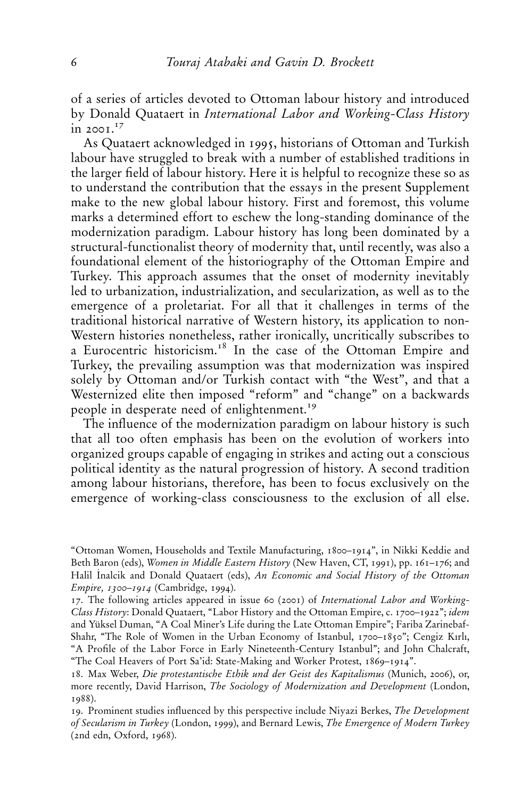of a series of articles devoted to Ottoman labour history and introduced by Donald Quataert in International Labor and Working-Class History  $\text{in } 2001$ <sup>17</sup>

As Quataert acknowledged in 1995, historians of Ottoman and Turkish labour have struggled to break with a number of established traditions in the larger field of labour history. Here it is helpful to recognize these so as to understand the contribution that the essays in the present Supplement make to the new global labour history. First and foremost, this volume marks a determined effort to eschew the long-standing dominance of the modernization paradigm. Labour history has long been dominated by a structural-functionalist theory of modernity that, until recently, was also a foundational element of the historiography of the Ottoman Empire and Turkey. This approach assumes that the onset of modernity inevitably led to urbanization, industrialization, and secularization, as well as to the emergence of a proletariat. For all that it challenges in terms of the traditional historical narrative of Western history, its application to non-Western histories nonetheless, rather ironically, uncritically subscribes to a Eurocentric historicism.<sup>18</sup> In the case of the Ottoman Empire and Turkey, the prevailing assumption was that modernization was inspired solely by Ottoman and/or Turkish contact with "the West", and that a Westernized elite then imposed "reform" and "change" on a backwards people in desperate need of enlightenment.<sup>19</sup>

The influence of the modernization paradigm on labour history is such that all too often emphasis has been on the evolution of workers into organized groups capable of engaging in strikes and acting out a conscious political identity as the natural progression of history. A second tradition among labour historians, therefore, has been to focus exclusively on the emergence of working-class consciousness to the exclusion of all else.

<sup>&#</sup>x27;'Ottoman Women, Households and Textile Manufacturing, 1800–1914'', in Nikki Keddie and Beth Baron (eds), Women in Middle Eastern History (New Haven, CT, 1991), pp. 161–176; and Halil Inalcik and Donald Quataert (eds), An Economic and Social History of the Ottoman Empire, 1300–1914 (Cambridge, 1994).

<sup>17.</sup> The following articles appeared in issue 60 (2001) of International Labor and Working-Class History: Donald Quataert, "Labor History and the Ottoman Empire, c. 1700-1922"; idem and Yüksel Duman, "A Coal Miner's Life during the Late Ottoman Empire"; Fariba Zarinebaf-Shahr, ''The Role of Women in the Urban Economy of Istanbul, 1700–1850''; Cengiz Kırlı, ''A Profile of the Labor Force in Early Nineteenth-Century Istanbul''; and John Chalcraft, ''The Coal Heavers of Port Sa'id: State-Making and Worker Protest, 1869–1914''.

<sup>18.</sup> Max Weber, Die protestantische Ethik und der Geist des Kapitalismus (Munich, 2006), or, more recently, David Harrison, The Sociology of Modernization and Development (London, 1988).

<sup>19.</sup> Prominent studies influenced by this perspective include Niyazi Berkes, The Development of Secularism in Turkey (London, 1999), and Bernard Lewis, The Emergence of Modern Turkey (2nd edn, Oxford, 1968).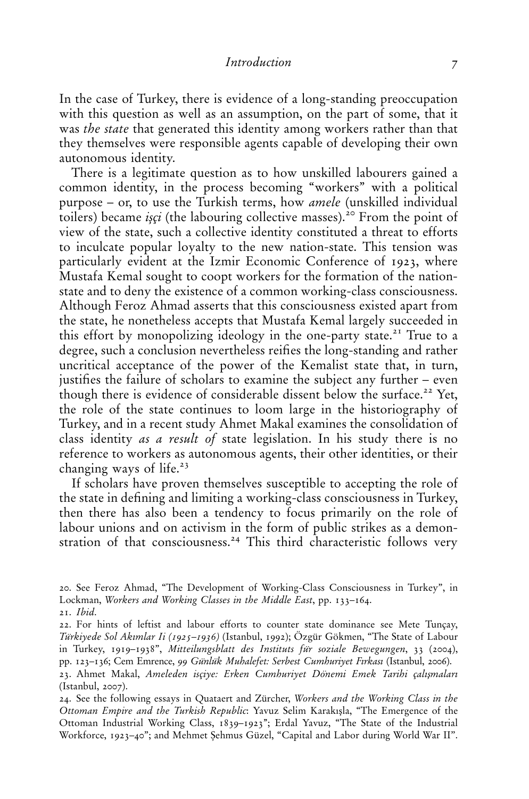In the case of Turkey, there is evidence of a long-standing preoccupation with this question as well as an assumption, on the part of some, that it was the state that generated this identity among workers rather than that they themselves were responsible agents capable of developing their own autonomous identity.

There is a legitimate question as to how unskilled labourers gained a common identity, in the process becoming ''workers'' with a political purpose – or, to use the Turkish terms, how amele (unskilled individual toilers) became *isei* (the labouring collective masses).<sup>20</sup> From the point of view of the state, such a collective identity constituted a threat to efforts to inculcate popular loyalty to the new nation-state. This tension was particularly evident at the Izmir Economic Conference of 1923, where Mustafa Kemal sought to coopt workers for the formation of the nationstate and to deny the existence of a common working-class consciousness. Although Feroz Ahmad asserts that this consciousness existed apart from the state, he nonetheless accepts that Mustafa Kemal largely succeeded in this effort by monopolizing ideology in the one-party state.<sup>21</sup> True to a degree, such a conclusion nevertheless reifies the long-standing and rather uncritical acceptance of the power of the Kemalist state that, in turn, justifies the failure of scholars to examine the subject any further – even though there is evidence of considerable dissent below the surface.<sup>22</sup> Yet, the role of the state continues to loom large in the historiography of Turkey, and in a recent study Ahmet Makal examines the consolidation of class identity as a result of state legislation. In his study there is no reference to workers as autonomous agents, their other identities, or their changing ways of life. $23$ 

If scholars have proven themselves susceptible to accepting the role of the state in defining and limiting a working-class consciousness in Turkey, then there has also been a tendency to focus primarily on the role of labour unions and on activism in the form of public strikes as a demonstration of that consciousness.<sup>24</sup> This third characteristic follows very

<sup>20.</sup> See Feroz Ahmad, ''The Development of Working-Class Consciousness in Turkey'', in Lockman, Workers and Working Classes in the Middle East, pp. 133–164.

<sup>21.</sup> Ibid.

<sup>22.</sup> For hints of leftist and labour efforts to counter state dominance see Mete Tuncay, Türkiyede Sol Akımlar Ii (1925–1936) (Istanbul, 1992); Özgür Gökmen, "The State of Labour in Turkey, 1919–1938", Mitteilungsblatt des Instituts für soziale Bewegungen, 33 (2004), pp. 123-136; Cem Emrence, 99 Günlük Muhalefet: Serbest Cumhuriyet Fırkası (Istanbul, 2006).

<sup>23.</sup> Ahmet Makal, Ameleden iscive: Erken Cumhuriyet Dönemi Emek Tarihi calısmaları (Istanbul, 2007).

<sup>24.</sup> See the following essays in Quataert and Zürcher, Workers and the Working Class in the Ottoman Empire and the Turkish Republic: Yavuz Selim Karakışla, "The Emergence of the Ottoman Industrial Working Class, 1839–1923''; Erdal Yavuz, ''The State of the Industrial Workforce, 1923-40"; and Mehmet Şehmus Güzel, "Capital and Labor during World War II".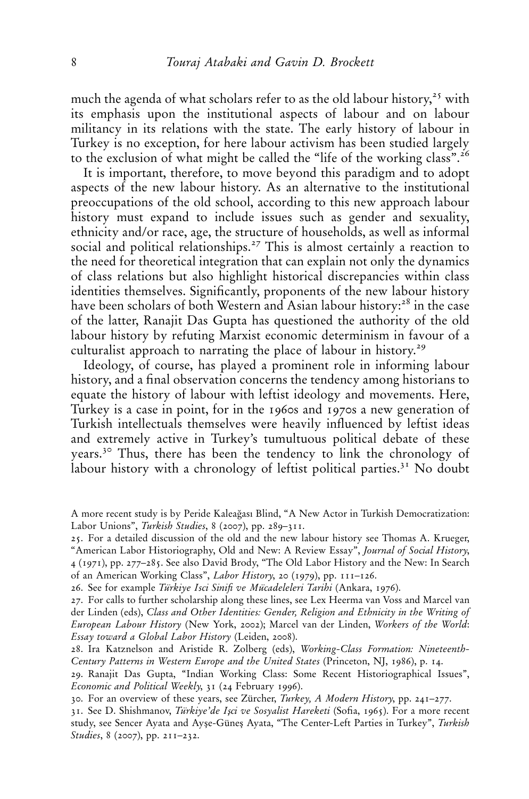much the agenda of what scholars refer to as the old labour history,<sup>25</sup> with its emphasis upon the institutional aspects of labour and on labour militancy in its relations with the state. The early history of labour in Turkey is no exception, for here labour activism has been studied largely to the exclusion of what might be called the "life of the working class".<sup>26</sup>

It is important, therefore, to move beyond this paradigm and to adopt aspects of the new labour history. As an alternative to the institutional preoccupations of the old school, according to this new approach labour history must expand to include issues such as gender and sexuality, ethnicity and/or race, age, the structure of households, as well as informal social and political relationships.<sup>27</sup> This is almost certainly a reaction to the need for theoretical integration that can explain not only the dynamics of class relations but also highlight historical discrepancies within class identities themselves. Significantly, proponents of the new labour history have been scholars of both Western and Asian labour history:<sup>28</sup> in the case of the latter, Ranajit Das Gupta has questioned the authority of the old labour history by refuting Marxist economic determinism in favour of a culturalist approach to narrating the place of labour in history.<sup>29</sup>

Ideology, of course, has played a prominent role in informing labour history, and a final observation concerns the tendency among historians to equate the history of labour with leftist ideology and movements. Here, Turkey is a case in point, for in the 1960s and 1970s a new generation of Turkish intellectuals themselves were heavily influenced by leftist ideas and extremely active in Turkey's tumultuous political debate of these years.<sup>30</sup> Thus, there has been the tendency to link the chronology of labour history with a chronology of leftist political parties.<sup>31</sup> No doubt

A more recent study is by Peride Kaleağası Blind, "A New Actor in Turkish Democratization: Labor Unions", Turkish Studies, 8 (2007), pp. 289-311.

<sup>25.</sup> For a detailed discussion of the old and the new labour history see Thomas A. Krueger, "American Labor Historiography, Old and New: A Review Essay", Journal of Social History, 4 (1971), pp. 277–285. See also David Brody, ''The Old Labor History and the New: In Search of an American Working Class'', Labor History, 20 (1979), pp. 111–126.

<sup>26.</sup> See for example Türkiye Isci Sinifi ve Mücadeleleri Tarihi (Ankara, 1976).

<sup>27.</sup> For calls to further scholarship along these lines, see Lex Heerma van Voss and Marcel van der Linden (eds), Class and Other Identities: Gender, Religion and Ethnicity in the Writing of European Labour History (New York, 2002); Marcel van der Linden, Workers of the World: Essay toward a Global Labor History (Leiden, 2008).

<sup>28.</sup> Ira Katznelson and Aristide R. Zolberg (eds), Working-Class Formation: Nineteenth-Century Patterns in Western Europe and the United States (Princeton, NJ, 1986), p. 14.

<sup>29.</sup> Ranajit Das Gupta, ''Indian Working Class: Some Recent Historiographical Issues'', Economic and Political Weekly, 31 (24 February 1996).

<sup>30.</sup> For an overview of these years, see Zürcher, Turkey, A Modern History, pp. 241–277.

<sup>31.</sup> See D. Shishmanov, Türkiye'de Işci ve Sosyalist Hareketi (Sofia, 1965). For a more recent study, see Sencer Ayata and Ayşe-Güneş Ayata, "The Center-Left Parties in Turkey", Turkish Studies, 8 (2007), pp. 211-232.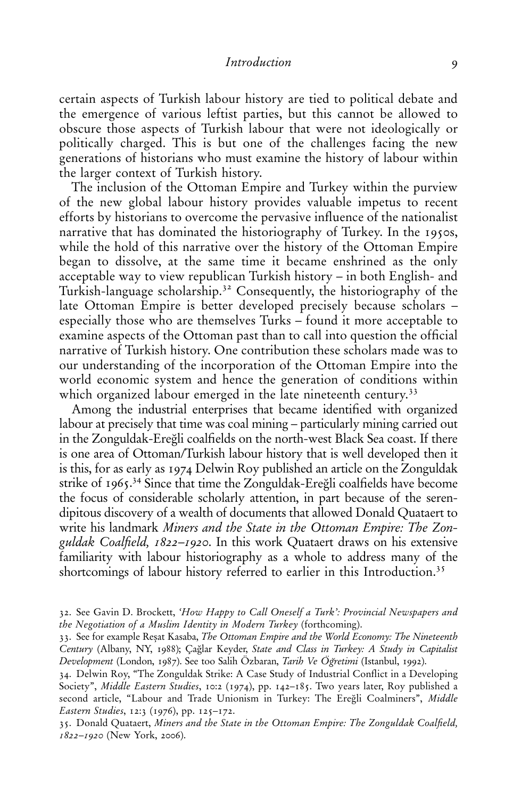certain aspects of Turkish labour history are tied to political debate and the emergence of various leftist parties, but this cannot be allowed to obscure those aspects of Turkish labour that were not ideologically or politically charged. This is but one of the challenges facing the new generations of historians who must examine the history of labour within the larger context of Turkish history.

The inclusion of the Ottoman Empire and Turkey within the purview of the new global labour history provides valuable impetus to recent efforts by historians to overcome the pervasive influence of the nationalist narrative that has dominated the historiography of Turkey. In the 1950s, while the hold of this narrative over the history of the Ottoman Empire began to dissolve, at the same time it became enshrined as the only acceptable way to view republican Turkish history – in both English- and Turkish-language scholarship.<sup>32</sup> Consequently, the historiography of the late Ottoman Empire is better developed precisely because scholars – especially those who are themselves Turks – found it more acceptable to examine aspects of the Ottoman past than to call into question the official narrative of Turkish history. One contribution these scholars made was to our understanding of the incorporation of the Ottoman Empire into the world economic system and hence the generation of conditions within which organized labour emerged in the late nineteenth century.<sup>33</sup>

Among the industrial enterprises that became identified with organized labour at precisely that time was coal mining – particularly mining carried out in the Zonguldak-Eregʻli coalfields on the north-west Black Sea coast. If there is one area of Ottoman/Turkish labour history that is well developed then it is this, for as early as 1974 Delwin Roy published an article on the Zonguldak strike of  $1965$ .<sup>34</sup> Since that time the Zonguldak-Eregʻli coalfields have become the focus of considerable scholarly attention, in part because of the serendipitous discovery of a wealth of documents that allowed Donald Quataert to write his landmark Miners and the State in the Ottoman Empire: The Zonguldak Coalfield, 1822–1920. In this work Quataert draws on his extensive familiarity with labour historiography as a whole to address many of the shortcomings of labour history referred to earlier in this Introduction.<sup>35</sup>

35. Donald Quataert, Miners and the State in the Ottoman Empire: The Zonguldak Coalfield, 1822–1920 (New York, 2006).

<sup>32.</sup> See Gavin D. Brockett, 'How Happy to Call Oneself a Turk': Provincial Newspapers and the Negotiation of a Muslim Identity in Modern Turkey (forthcoming).

<sup>33.</sup> See for example Resat Kasaba, The Ottoman Empire and the World Economy: The Nineteenth Century (Albany, NY, 1988); Çağlar Keyder, State and Class in Turkey: A Study in Capitalist Development (London, 1987). See too Salih Özbaran, Tarih Ve Öğretimi (Istanbul, 1992).

<sup>34.</sup> Delwin Roy, ''The Zonguldak Strike: A Case Study of Industrial Conflict in a Developing Society'', Middle Eastern Studies, 10:2 (1974), pp. 142–185. Two years later, Roy published a second article, "Labour and Trade Unionism in Turkey: The Ereğli Coalminers", Middle Eastern Studies, 12:3 (1976), pp. 125–172.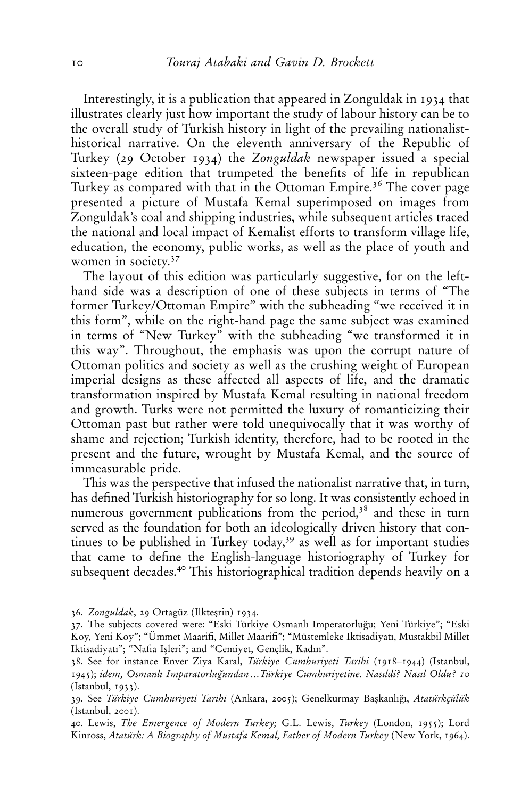Interestingly, it is a publication that appeared in Zonguldak in 1934 that illustrates clearly just how important the study of labour history can be to the overall study of Turkish history in light of the prevailing nationalisthistorical narrative. On the eleventh anniversary of the Republic of Turkey (29 October 1934) the Zonguldak newspaper issued a special sixteen-page edition that trumpeted the benefits of life in republican Turkey as compared with that in the Ottoman Empire.<sup>36</sup> The cover page presented a picture of Mustafa Kemal superimposed on images from Zonguldak's coal and shipping industries, while subsequent articles traced the national and local impact of Kemalist efforts to transform village life, education, the economy, public works, as well as the place of youth and women in society.<sup>37</sup>

The layout of this edition was particularly suggestive, for on the lefthand side was a description of one of these subjects in terms of ''The former Turkey/Ottoman Empire'' with the subheading ''we received it in this form'', while on the right-hand page the same subject was examined in terms of "New Turkey" with the subheading "we transformed it in this way''. Throughout, the emphasis was upon the corrupt nature of Ottoman politics and society as well as the crushing weight of European imperial designs as these affected all aspects of life, and the dramatic transformation inspired by Mustafa Kemal resulting in national freedom and growth. Turks were not permitted the luxury of romanticizing their Ottoman past but rather were told unequivocally that it was worthy of shame and rejection; Turkish identity, therefore, had to be rooted in the present and the future, wrought by Mustafa Kemal, and the source of immeasurable pride.

This was the perspective that infused the nationalist narrative that, in turn, has defined Turkish historiography for so long. It was consistently echoed in numerous government publications from the period,<sup>38</sup> and these in turn served as the foundation for both an ideologically driven history that continues to be published in Turkey today,<sup>39</sup> as well as for important studies that came to define the English-language historiography of Turkey for subsequent decades.<sup>40</sup> This historiographical tradition depends heavily on a

36. Zonguldak, 29 Ortagüz (Ilkteşrin) 1934.

<sup>37.</sup> The subjects covered were: "Eski Türkiye Osmanlı Imperatorluğu; Yeni Türkiye"; "Eski Koy, Yeni Koy"; "Ümmet Maarifi, Millet Maarifi"; "Müstemleke Iktisadiyatı, Mustakbil Millet Iktisadiyatı"; "Nafia Işleri"; and "Cemiyet, Gençlik, Kadın".

<sup>38.</sup> See for instance Enver Ziya Karal, Türkiye Cumhuriyeti Tarihi (1918-1944) (Istanbul, 1945); idem, Osmanlı Imparatorluğundan...Türkiye Cumhuriyetine. Nasıldi? Nasıl Oldu? 10 (Istanbul, 1933).

<sup>39.</sup> See Türkiye Cumhuriyeti Tarihi (Ankara, 2005); Genelkurmay Başkanlığı, Atatürkçülük (Istanbul, 2001).

<sup>40.</sup> Lewis, The Emergence of Modern Turkey; G.L. Lewis, Turkey (London, 1955); Lord Kinross, Atatürk: A Biography of Mustafa Kemal, Father of Modern Turkey (New York, 1964).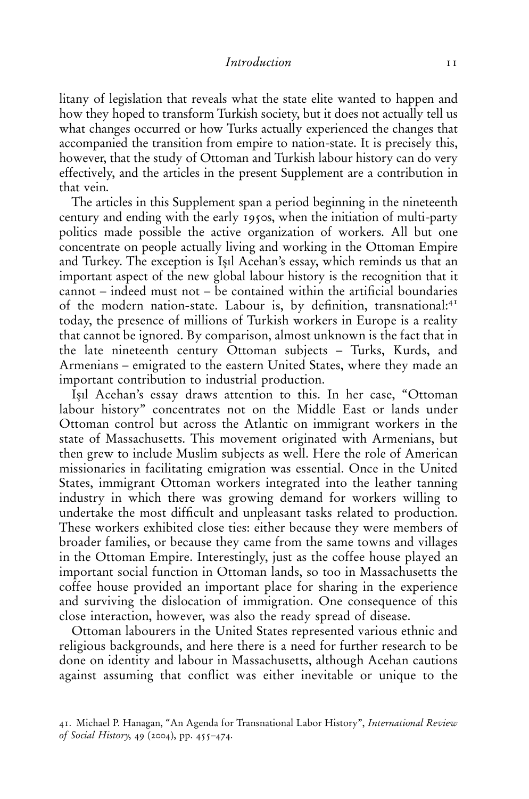litany of legislation that reveals what the state elite wanted to happen and how they hoped to transform Turkish society, but it does not actually tell us what changes occurred or how Turks actually experienced the changes that accompanied the transition from empire to nation-state. It is precisely this, however, that the study of Ottoman and Turkish labour history can do very effectively, and the articles in the present Supplement are a contribution in that vein.

The articles in this Supplement span a period beginning in the nineteenth century and ending with the early 1950s, when the initiation of multi-party politics made possible the active organization of workers. All but one concentrate on people actually living and working in the Ottoman Empire and Turkey. The exception is Isil Acehan's essay, which reminds us that an important aspect of the new global labour history is the recognition that it cannot – indeed must not – be contained within the artificial boundaries of the modern nation-state. Labour is, by definition, transnational:<sup>41</sup> today, the presence of millions of Turkish workers in Europe is a reality that cannot be ignored. By comparison, almost unknown is the fact that in the late nineteenth century Ottoman subjects – Turks, Kurds, and Armenians – emigrated to the eastern United States, where they made an important contribution to industrial production.

Isil Acehan's essay draws attention to this. In her case, "Ottoman labour history'' concentrates not on the Middle East or lands under Ottoman control but across the Atlantic on immigrant workers in the state of Massachusetts. This movement originated with Armenians, but then grew to include Muslim subjects as well. Here the role of American missionaries in facilitating emigration was essential. Once in the United States, immigrant Ottoman workers integrated into the leather tanning industry in which there was growing demand for workers willing to undertake the most difficult and unpleasant tasks related to production. These workers exhibited close ties: either because they were members of broader families, or because they came from the same towns and villages in the Ottoman Empire. Interestingly, just as the coffee house played an important social function in Ottoman lands, so too in Massachusetts the coffee house provided an important place for sharing in the experience and surviving the dislocation of immigration. One consequence of this close interaction, however, was also the ready spread of disease.

Ottoman labourers in the United States represented various ethnic and religious backgrounds, and here there is a need for further research to be done on identity and labour in Massachusetts, although Acehan cautions against assuming that conflict was either inevitable or unique to the

<sup>41.</sup> Michael P. Hanagan, "An Agenda for Transnational Labor History", International Review of Social History, 49 (2004), pp. 455–474.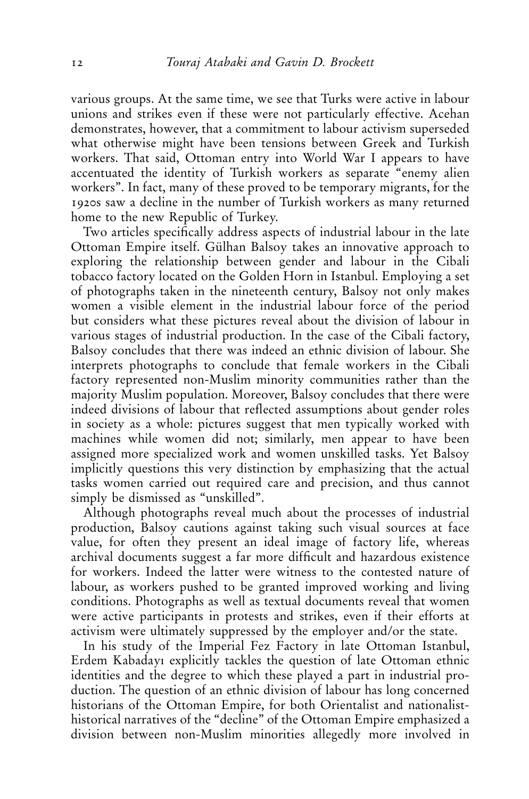various groups. At the same time, we see that Turks were active in labour unions and strikes even if these were not particularly effective. Acehan demonstrates, however, that a commitment to labour activism superseded what otherwise might have been tensions between Greek and Turkish workers. That said, Ottoman entry into World War I appears to have accentuated the identity of Turkish workers as separate "enemy alien workers''. In fact, many of these proved to be temporary migrants, for the 1920s saw a decline in the number of Turkish workers as many returned home to the new Republic of Turkey.

Two articles specifically address aspects of industrial labour in the late Ottoman Empire itself. Gülhan Balsoy takes an innovative approach to exploring the relationship between gender and labour in the Cibali tobacco factory located on the Golden Horn in Istanbul. Employing a set of photographs taken in the nineteenth century, Balsoy not only makes women a visible element in the industrial labour force of the period but considers what these pictures reveal about the division of labour in various stages of industrial production. In the case of the Cibali factory, Balsoy concludes that there was indeed an ethnic division of labour. She interprets photographs to conclude that female workers in the Cibali factory represented non-Muslim minority communities rather than the majority Muslim population. Moreover, Balsoy concludes that there were indeed divisions of labour that reflected assumptions about gender roles in society as a whole: pictures suggest that men typically worked with machines while women did not; similarly, men appear to have been assigned more specialized work and women unskilled tasks. Yet Balsoy implicitly questions this very distinction by emphasizing that the actual tasks women carried out required care and precision, and thus cannot simply be dismissed as "unskilled".

Although photographs reveal much about the processes of industrial production, Balsoy cautions against taking such visual sources at face value, for often they present an ideal image of factory life, whereas archival documents suggest a far more difficult and hazardous existence for workers. Indeed the latter were witness to the contested nature of labour, as workers pushed to be granted improved working and living conditions. Photographs as well as textual documents reveal that women were active participants in protests and strikes, even if their efforts at activism were ultimately suppressed by the employer and/or the state.

In his study of the Imperial Fez Factory in late Ottoman Istanbul, Erdem Kabadayı explicitly tackles the question of late Ottoman ethnic identities and the degree to which these played a part in industrial production. The question of an ethnic division of labour has long concerned historians of the Ottoman Empire, for both Orientalist and nationalisthistorical narratives of the "decline" of the Ottoman Empire emphasized a division between non-Muslim minorities allegedly more involved in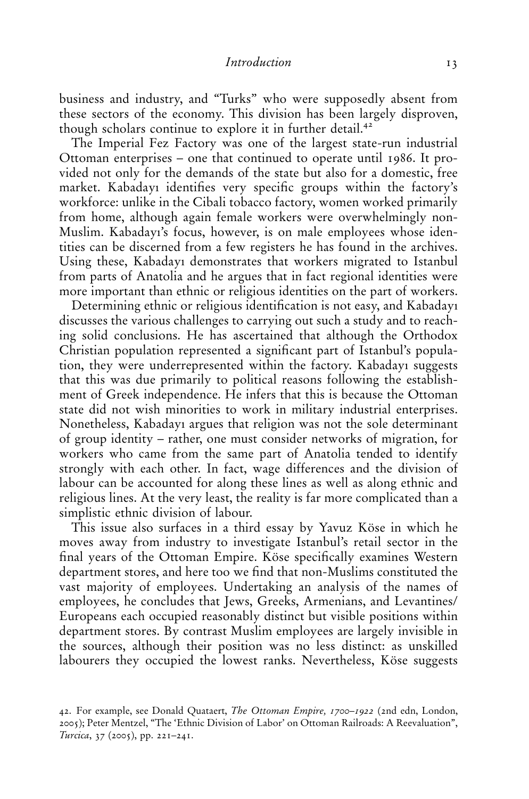business and industry, and ''Turks'' who were supposedly absent from these sectors of the economy. This division has been largely disproven, though scholars continue to explore it in further detail.<sup>42</sup>

The Imperial Fez Factory was one of the largest state-run industrial Ottoman enterprises – one that continued to operate until 1986. It provided not only for the demands of the state but also for a domestic, free market. Kabadayı identifies very specific groups within the factory's workforce: unlike in the Cibali tobacco factory, women worked primarily from home, although again female workers were overwhelmingly non-Muslim. Kabadayı's focus, however, is on male employees whose identities can be discerned from a few registers he has found in the archives. Using these, Kabadayı demonstrates that workers migrated to Istanbul from parts of Anatolia and he argues that in fact regional identities were more important than ethnic or religious identities on the part of workers.

Determining ethnic or religious identification is not easy, and Kabadayı discusses the various challenges to carrying out such a study and to reaching solid conclusions. He has ascertained that although the Orthodox Christian population represented a significant part of Istanbul's population, they were underrepresented within the factory. Kabadayı suggests that this was due primarily to political reasons following the establishment of Greek independence. He infers that this is because the Ottoman state did not wish minorities to work in military industrial enterprises. Nonetheless, Kabadayı argues that religion was not the sole determinant of group identity – rather, one must consider networks of migration, for workers who came from the same part of Anatolia tended to identify strongly with each other. In fact, wage differences and the division of labour can be accounted for along these lines as well as along ethnic and religious lines. At the very least, the reality is far more complicated than a simplistic ethnic division of labour.

This issue also surfaces in a third essay by Yavuz Köse in which he moves away from industry to investigate Istanbul's retail sector in the final years of the Ottoman Empire. Köse specifically examines Western department stores, and here too we find that non-Muslims constituted the vast majority of employees. Undertaking an analysis of the names of employees, he concludes that Jews, Greeks, Armenians, and Levantines/ Europeans each occupied reasonably distinct but visible positions within department stores. By contrast Muslim employees are largely invisible in the sources, although their position was no less distinct: as unskilled labourers they occupied the lowest ranks. Nevertheless, Köse suggests

<sup>42.</sup> For example, see Donald Quataert, The Ottoman Empire, 1700–1922 (2nd edn, London, 2005); Peter Mentzel, ''The 'Ethnic Division of Labor' on Ottoman Railroads: A Reevaluation'', Turcica, 37 (2005), pp. 221–241.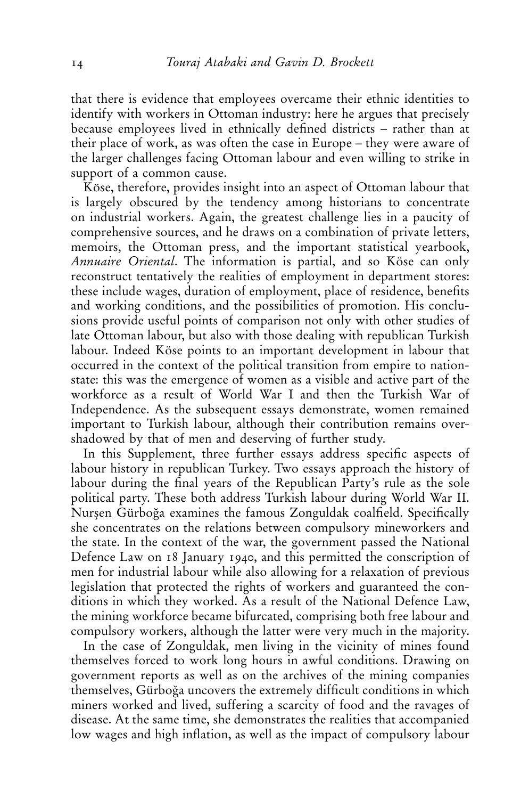that there is evidence that employees overcame their ethnic identities to identify with workers in Ottoman industry: here he argues that precisely because employees lived in ethnically defined districts – rather than at their place of work, as was often the case in Europe – they were aware of the larger challenges facing Ottoman labour and even willing to strike in support of a common cause.

Köse, therefore, provides insight into an aspect of Ottoman labour that is largely obscured by the tendency among historians to concentrate on industrial workers. Again, the greatest challenge lies in a paucity of comprehensive sources, and he draws on a combination of private letters, memoirs, the Ottoman press, and the important statistical yearbook, Annuaire Oriental. The information is partial, and so Köse can only reconstruct tentatively the realities of employment in department stores: these include wages, duration of employment, place of residence, benefits and working conditions, and the possibilities of promotion. His conclusions provide useful points of comparison not only with other studies of late Ottoman labour, but also with those dealing with republican Turkish labour. Indeed Köse points to an important development in labour that occurred in the context of the political transition from empire to nationstate: this was the emergence of women as a visible and active part of the workforce as a result of World War I and then the Turkish War of Independence. As the subsequent essays demonstrate, women remained important to Turkish labour, although their contribution remains overshadowed by that of men and deserving of further study.

In this Supplement, three further essays address specific aspects of labour history in republican Turkey. Two essays approach the history of labour during the final years of the Republican Party's rule as the sole political party. These both address Turkish labour during World War II. Nursen Gürboğa examines the famous Zonguldak coalfield. Specifically she concentrates on the relations between compulsory mineworkers and the state. In the context of the war, the government passed the National Defence Law on 18 January 1940, and this permitted the conscription of men for industrial labour while also allowing for a relaxation of previous legislation that protected the rights of workers and guaranteed the conditions in which they worked. As a result of the National Defence Law, the mining workforce became bifurcated, comprising both free labour and compulsory workers, although the latter were very much in the majority.

In the case of Zonguldak, men living in the vicinity of mines found themselves forced to work long hours in awful conditions. Drawing on government reports as well as on the archives of the mining companies themselves, Gürboğa uncovers the extremely difficult conditions in which miners worked and lived, suffering a scarcity of food and the ravages of disease. At the same time, she demonstrates the realities that accompanied low wages and high inflation, as well as the impact of compulsory labour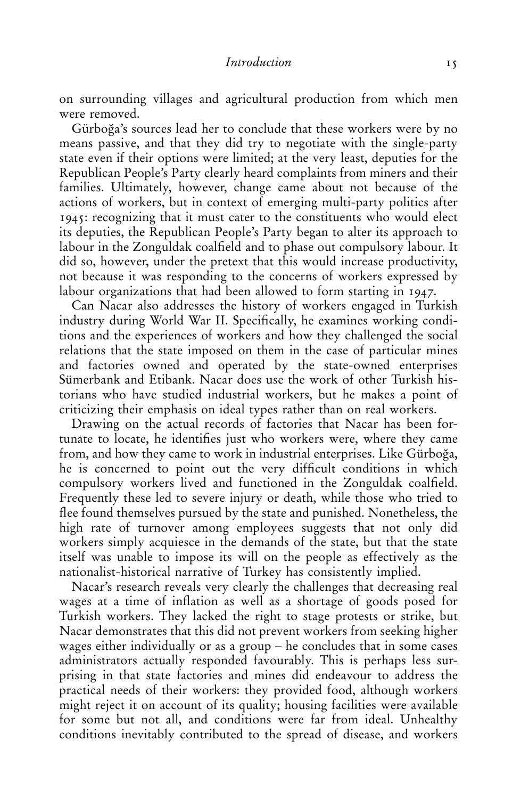on surrounding villages and agricultural production from which men were removed.

Gürboğa's sources lead her to conclude that these workers were by no means passive, and that they did try to negotiate with the single-party state even if their options were limited; at the very least, deputies for the Republican People's Party clearly heard complaints from miners and their families. Ultimately, however, change came about not because of the actions of workers, but in context of emerging multi-party politics after 1945: recognizing that it must cater to the constituents who would elect its deputies, the Republican People's Party began to alter its approach to labour in the Zonguldak coalfield and to phase out compulsory labour. It did so, however, under the pretext that this would increase productivity, not because it was responding to the concerns of workers expressed by labour organizations that had been allowed to form starting in 1947.

Can Nacar also addresses the history of workers engaged in Turkish industry during World War II. Specifically, he examines working conditions and the experiences of workers and how they challenged the social relations that the state imposed on them in the case of particular mines and factories owned and operated by the state-owned enterprises Sümerbank and Etibank. Nacar does use the work of other Turkish historians who have studied industrial workers, but he makes a point of criticizing their emphasis on ideal types rather than on real workers.

Drawing on the actual records of factories that Nacar has been fortunate to locate, he identifies just who workers were, where they came from, and how they came to work in industrial enterprises. Like Gürboğa, he is concerned to point out the very difficult conditions in which compulsory workers lived and functioned in the Zonguldak coalfield. Frequently these led to severe injury or death, while those who tried to flee found themselves pursued by the state and punished. Nonetheless, the high rate of turnover among employees suggests that not only did workers simply acquiesce in the demands of the state, but that the state itself was unable to impose its will on the people as effectively as the nationalist-historical narrative of Turkey has consistently implied.

Nacar's research reveals very clearly the challenges that decreasing real wages at a time of inflation as well as a shortage of goods posed for Turkish workers. They lacked the right to stage protests or strike, but Nacar demonstrates that this did not prevent workers from seeking higher wages either individually or as a group – he concludes that in some cases administrators actually responded favourably. This is perhaps less surprising in that state factories and mines did endeavour to address the practical needs of their workers: they provided food, although workers might reject it on account of its quality; housing facilities were available for some but not all, and conditions were far from ideal. Unhealthy conditions inevitably contributed to the spread of disease, and workers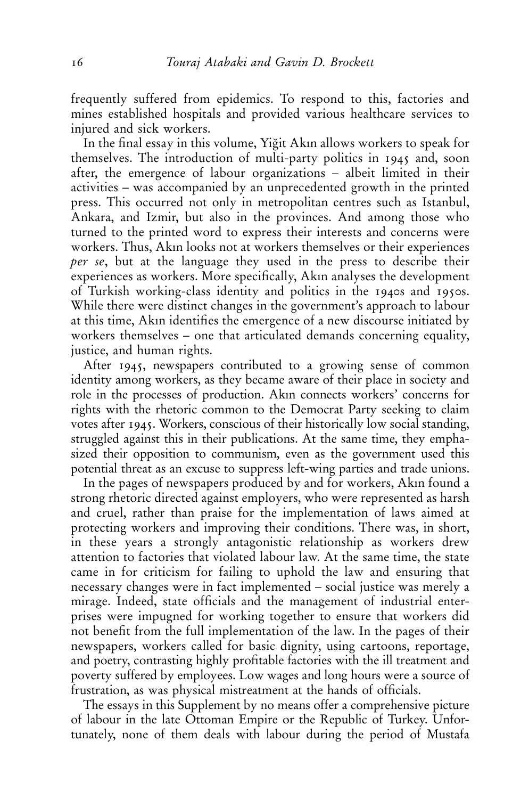frequently suffered from epidemics. To respond to this, factories and mines established hospitals and provided various healthcare services to injured and sick workers.

In the final essay in this volume, Yiğit Akın allows workers to speak for themselves. The introduction of multi-party politics in 1945 and, soon after, the emergence of labour organizations – albeit limited in their activities – was accompanied by an unprecedented growth in the printed press. This occurred not only in metropolitan centres such as Istanbul, Ankara, and Izmir, but also in the provinces. And among those who turned to the printed word to express their interests and concerns were workers. Thus, Akın looks not at workers themselves or their experiences per se, but at the language they used in the press to describe their experiences as workers. More specifically, Akın analyses the development of Turkish working-class identity and politics in the 1940s and 1950s. While there were distinct changes in the government's approach to labour at this time, Akın identifies the emergence of a new discourse initiated by workers themselves – one that articulated demands concerning equality, justice, and human rights.

After 1945, newspapers contributed to a growing sense of common identity among workers, as they became aware of their place in society and role in the processes of production. Akın connects workers' concerns for rights with the rhetoric common to the Democrat Party seeking to claim votes after 1945. Workers, conscious of their historically low social standing, struggled against this in their publications. At the same time, they emphasized their opposition to communism, even as the government used this potential threat as an excuse to suppress left-wing parties and trade unions.

In the pages of newspapers produced by and for workers, Akın found a strong rhetoric directed against employers, who were represented as harsh and cruel, rather than praise for the implementation of laws aimed at protecting workers and improving their conditions. There was, in short, in these years a strongly antagonistic relationship as workers drew attention to factories that violated labour law. At the same time, the state came in for criticism for failing to uphold the law and ensuring that necessary changes were in fact implemented – social justice was merely a mirage. Indeed, state officials and the management of industrial enterprises were impugned for working together to ensure that workers did not benefit from the full implementation of the law. In the pages of their newspapers, workers called for basic dignity, using cartoons, reportage, and poetry, contrasting highly profitable factories with the ill treatment and poverty suffered by employees. Low wages and long hours were a source of frustration, as was physical mistreatment at the hands of officials.

The essays in this Supplement by no means offer a comprehensive picture of labour in the late Ottoman Empire or the Republic of Turkey. Unfortunately, none of them deals with labour during the period of Mustafa